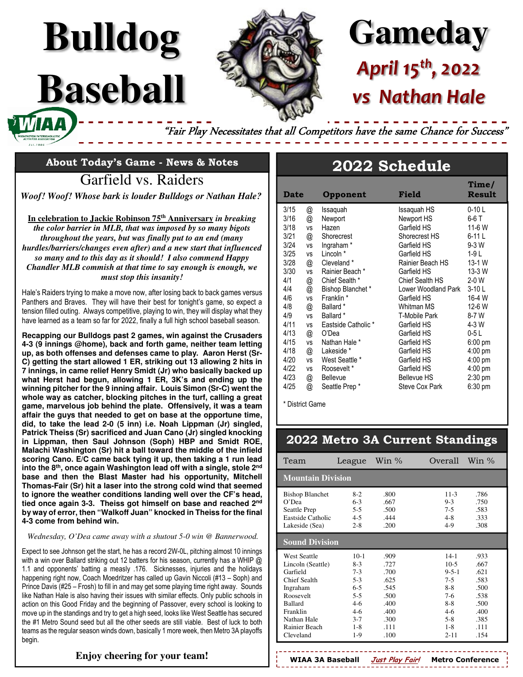# **Gameday** *April 15th, 2022 vs Nathan Hale*

"Fair Play Necessitates that all Competitors have the same Chance for Success"

**About Today's Game - News & Notes** 

**Bulldog**

**Baseball** 

Garfield vs. Raiders

*Woof! Woof! Whose bark is louder Bulldogs or Nathan Hale?* 

**In celebration to Jackie Robinson 75th Anniversary** *in breaking the color barrier in MLB, that was imposed by so many bigots throughout the years, but was finally put to an end (many hurdles/barriers/changes even after) and a new start that influenced so many and to this day as it should! I also commend Happy Chandler MLB commish at that time to say enough is enough, we must stop this insanity!* 

Hale's Raiders trying to make a move now, after losing back to back games versus Panthers and Braves. They will have their best for tonight's game, so expect a tension filled outing. Always competitive, playing to win, they will display what they have learned as a team so far for 2022, finally a full high school baseball season.

**Recapping our Bulldogs past 2 games, win against the Crusaders 4-3 (9 innings @home), back and forth game, neither team letting up, as both offenses and defenses came to play. Aaron Herst (Sr-C) getting the start allowed 1 ER, striking out 13 allowing 2 hits in 7 innings, in came relief Henry Smidt (Jr) who basically backed up what Herst had begun, allowing 1 ER, 3K's and ending up the winning pitcher for the 9 inning affair. Louis Simon (Sr-C) went the whole way as catcher, blocking pitches in the turf, calling a great game, marvelous job behind the plate. Offensively, it was a team affair the guys that needed to get on base at the opportune time, did, to take the lead 2-0 (5 inn) i.e. Noah Lippman (Jr) singled, Patrick Theiss (Sr) sacrificed and Juan Cano (Jr) singled knocking in Lippman, then Saul Johnson (Soph) HBP and Smidt ROE, Malachi Washington (Sr) hit a ball toward the middle of the infield scoring Cano. E/C came back tying it up, then taking a 1 run lead into the 8th, once again Washington lead off with a single, stole 2nd base and then the Blast Master had his opportunity, Mitchell Thomas-Fair (Sr) hit a laser into the strong cold wind that seemed to ignore the weather conditions landing well over the CF's head, tied once again 3-3. Theiss got himself on base and reached 2nd by way of error, then "Walkoff Juan" knocked in Theiss for the final 4-3 come from behind win.** 

# Wednesday, O'Dea came away with a shutout 5-0 win @ Bannerwood.

Expect to see Johnson get the start, he has a record 2W-0L, pitching almost 10 innings with a win over Ballard striking out 12 batters for his season, currently has a WHIP @ 1.1 and opponents' batting a measly .176. Sicknesses, injuries and the holidays happening right now, Coach Moedritzer has called up Gavin Niccoli (#13 – Soph) and Prince Davis (#25 – Frosh) to fill in and may get some playing time right away. Sounds like Nathan Hale is also having their issues with similar effects. Only public schools in action on this Good Friday and the beginning of Passover, every school is looking to move up in the standings and try to get a high seed, looks like West Seattle has secured the #1 Metro Sound seed but all the other seeds are still viable. Best of luck to both teams as the regular season winds down, basically 1 more week, then Metro 3A playoffs begin.

#### **Enjoy cheering for your team!**

# **2022 Schedule**

| <b>Date</b> |           | Opponent             | Field               | Time/<br>Result   |
|-------------|-----------|----------------------|---------------------|-------------------|
| 3/15        | @         | Issaquah             | Issaquah HS         | $0-10L$           |
| 3/16        | @         | Newport              | Newport HS          | $6-6$ T           |
| 3/18        | <b>VS</b> | Hazen                | Garfield HS         | 11-6 W            |
| 3/21        | @         | Shorecrest           | Shorecrest HS       | $6-11L$           |
| 3/24        | <b>VS</b> | Ingraham*            | Garfield HS         | $9-3$ W           |
| 3/25        | <b>VS</b> | Lincoln <sup>*</sup> | Garfield HS         | $1-9L$            |
| 3/28        | @         | Cleveland *          | Rainier Beach HS    | 13-1 W            |
| 3/30        | VS        | Rainier Beach *      | Garfield HS         | 13-3 W            |
| 4/1         | @         | Chief Sealth *       | Chief Sealth HS     | $2-0$ W           |
| 4/4         | @         | Bishop Blanchet*     | Lower Woodland Park | $3-10L$           |
| 4/6         | <b>VS</b> | Franklin *           | Garfield HS         | 16-4 W            |
| 4/8         | @         | Ballard *            | Whitman MS          | 12-6 W            |
| 4/9         | <b>VS</b> | Ballard *            | T-Mobile Park       | 8-7 W             |
| 4/11        | <b>VS</b> | Eastside Catholic *  | Garfield HS         | 4-3 W             |
| 4/13        | @         | O'Dea                | Garfield HS         | $0-5L$            |
| 4/15        | <b>VS</b> | Nathan Hale *        | Garfield HS         | $6:00 \text{ pm}$ |
| 4/18        | @         | Lakeside *           | Garfield HS         | $4:00$ pm         |
| 4/20        | <b>VS</b> | West Seattle *       | Garfield HS         | $4:00 \text{ pm}$ |
| 4/22        | vs        | Roosevelt*           | Garfield HS         | $4:00$ pm         |
| 4/23        | @         | <b>Bellevue</b>      | <b>Bellevue HS</b>  | $2:30$ pm         |
| 4/25        | @         | Seattle Prep*        | Steve Cox Park      | $6:30$ pm         |

\* District Game

#### **2022 Metro 3A Current Standings**

| Team                                                                                                                                                                     | League                                                                                                     | Win $\%$                                                                               | Overall                                                                                                              | Win $\%$                                                                             |  |  |  |
|--------------------------------------------------------------------------------------------------------------------------------------------------------------------------|------------------------------------------------------------------------------------------------------------|----------------------------------------------------------------------------------------|----------------------------------------------------------------------------------------------------------------------|--------------------------------------------------------------------------------------|--|--|--|
| <b>Mountain Division</b>                                                                                                                                                 |                                                                                                            |                                                                                        |                                                                                                                      |                                                                                      |  |  |  |
| <b>Bishop Blanchet</b><br>$O'$ Dea<br>Seattle Prep<br>Eastside Catholic<br>Lakeside (Sea)                                                                                | $8-2$<br>$6 - 3$<br>$5 - 5$<br>$4 - 5$<br>$2 - 8$                                                          | .800<br>.667<br>.500<br>444<br>.200                                                    | $11-3$<br>$9 - 3$<br>$7 - 5$<br>$4 - 8$<br>$4-9$                                                                     | .786<br>.750<br>.583<br>.333<br>.308                                                 |  |  |  |
| <b>Sound Division</b>                                                                                                                                                    |                                                                                                            |                                                                                        |                                                                                                                      |                                                                                      |  |  |  |
| <b>West Seattle</b><br>Lincoln (Seattle)<br>Garfield<br>Chief Sealth<br>Ingraham<br>Roosevelt<br><b>Ballard</b><br>Franklin<br>Nathan Hale<br>Rainier Beach<br>Cleveland | $10-1$<br>$8-3$<br>$7 - 3$<br>$5 - 3$<br>$6 - 5$<br>$5 - 5$<br>$4-6$<br>$4-6$<br>$3 - 7$<br>$1 - 8$<br>1-9 | .909<br>.727<br>.700<br>.625<br>.545<br>.500<br>.400<br>.400<br>.300<br>$-111$<br>.100 | $14-1$<br>$10-5$<br>$9 - 5 - 1$<br>$7 - 5$<br>$8 - 8$<br>$7-6$<br>$8 - 8$<br>$4-6$<br>$5 - 8$<br>$1 - 8$<br>$2 - 11$ | .933<br>.667<br>-621<br>.583<br>.500<br>.538<br>.500<br>.400<br>.385<br>.111<br>.154 |  |  |  |

**WIAA 3A Baseball Just Play Fair! Metro Conference**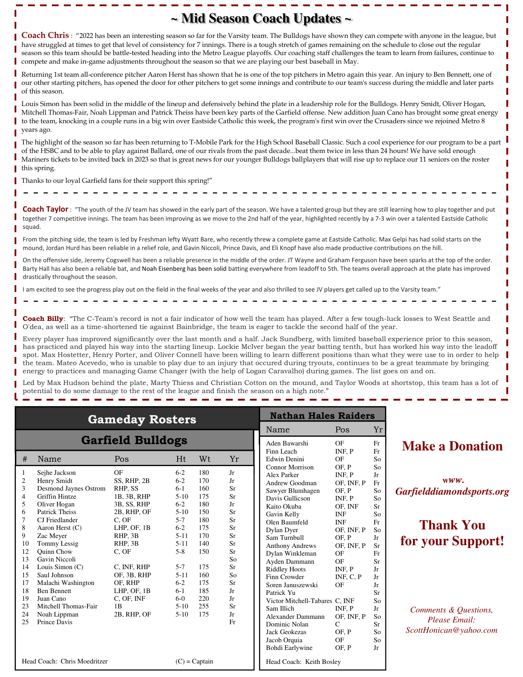## **~ Mid Season Coach Updates ~**

**Coach Chris** : "2022 has been an interesting season so far for the Varsity team. The Bulldogs have shown they can compete with anyone in the league, but have struggled at times to get that level of consistency for 7 innings. There is a tough stretch of games remaining on the schedule to close out the regular season so this team should be battle-tested heading into the Metro League playoffs. Our coaching staff challenges the team to learn from failures, continue to compete and make in-game adjustments throughout the season so that we are playing our best baseball in May.

Returning 1st team all-conference pitcher Aaron Herst has shown that he is one of the top pitchers in Metro again this year. An injury to Ben Bennett, one of our other starting pitchers, has opened the door for other pitchers to get some innings and contribute to our team's success during the middle and later parts of this season.

Louis Simon has been solid in the middle of the lineup and defensively behind the plate in a leadership role for the Bulldogs. Henry Smidt, Oliver Hogan, Mitchell Thomas-Fair, Noah Lippman and Patrick Theiss have been key parts of the Garfield offense. New addition Juan Cano has brought some great energy to the team, knocking in a couple runs in a big win over Eastside Catholic this week, the program's first win over the Crusaders since we rejoined Metro 8 years ago.

The highlight of the season so far has been returning to T-Mobile Park for the High School Baseball Classic. Such a cool experience for our program to be a part of the HSBC and to be able to play against Ballard, one of our rivals from the past decade...beat them twice in less than 24 hours! We have sold enough Mariners tickets to be invited back in 2023 so that is great news for our younger Bulldogs ballplayers that will rise up to replace our 11 seniors on the roster this spring.

Thanks to our loyal Garfield fans for their support this spring!" - - - - - - - - - - - - - - - - - - - - - - - - - - - - - - - - - - - - - - - - - - - - - - - -

Coach Taylor : "The youth of the JV team has showed in the early part of the season. We have a talented group but they are still learning how to play together and put together 7 competitive innings. The team has been improving as we move to the 2nd half of the year, highlighted recently by a 7-3 win over a talented Eastside Catholic squad.

From the pitching side, the team is led by Freshman lefty Wyatt Bare, who recently threw a complete game at Eastside Catholic. Max Gelpi has had solid starts on the mound, Jordan Hurd has been reliable in a relief role, and Gavin Niccoli, Prince Davis, and Eli Knopf have also made productive contributions on the hill.

On the offensive side, Jeremy Cogswell has been a reliable presence in the middle of the order. JT Wayne and Graham Ferguson have been sparks at the top of the order. Barty Hall has also been a reliable bat, and Noah Eisenberg has been solid batting everywhere from leadoff to 5th. The teams overall approach at the plate has improved drastically throughout the season.

I am excited to see the progress play out on the field in the final weeks of the year and also thrilled to see JV players get called up to the Varsity team." - - - - - - - - - - - - - - - - - - - - - - - - - - - - - - - - - - - - - - - - - - - - - - - -

**Coach Billy**: "The C-Team's record is not a fair indicator of how well the team has played. After a few tough-luck losses to West Seattle and O'dea, as well as a time-shortened tie against Bainbridge, the team is eager to tackle the second half of the year.

Every player has improved significantly over the last month and a half. Jack Sundberg, with limited baseball experience prior to this season, has practiced and played his way into the starting lineup. Lockie McIver began the year batting tenth, but has worked his way into the leadoff spot. Max Hostetter, Henry Porter, and Oliver Connell have been willing to learn different positions than what they were use to in order to help the team. Mateo Acevedo, who is unable to play due to an injury that occured during tryouts, continues to be a great teammate by bringing energy to practices and managing Game Changer (with the help of Logan Caravalho) during games. The list goes on and on.

Led by Max Hudson behind the plate, Marty Thiess and Christian Cotton on the mound, and Taylor Woods at shortstop, this team has a lot of potential to do some damage to the rest of the league and finish the season on a high note."

| <b>Gameday Rosters</b>                          |                              |             |                          |                |           | <b>Nathan Hales Raiders</b>       |                |                      |  |
|-------------------------------------------------|------------------------------|-------------|--------------------------|----------------|-----------|-----------------------------------|----------------|----------------------|--|
|                                                 |                              | Name        | Pos                      | Yr             |           |                                   |                |                      |  |
| <b>Garfield Bulldogs</b>                        |                              |             |                          |                |           | Aden Bawarshi                     | OF             | Fr                   |  |
| #                                               | Name                         | Pos         | Ht.                      | W <sub>t</sub> | Yr        | Finn Leach<br><b>Edwin Denini</b> | INF. P<br>OF   | Fr<br>So             |  |
| 1                                               | Sejhe Jackson                | OF          | $6 - 2$                  | 180            | Jr        | Connor Morrison<br>Alex Parker    | OF P<br>INF, P | S <sub>o</sub><br>Jr |  |
| $\overline{c}$                                  | Henry Smidt                  | SS, RHP, 2B | $6 - 2$                  | 170            | Ir.       | Andrew Goodman                    | OF. INF. P     | Fr                   |  |
| 3                                               | <b>Desmond Jaynes Ostrom</b> | RHP, SS     | $6 - 1$                  | 160            | Sr        | Sawyer Blumhagen                  | OF. P          | So                   |  |
| $\overline{4}$                                  | Griffin Hintze               | 1B, 3B, RHP | $5-10$                   | 175            | Sr        | Davis Gullicson                   | INF. P         | So                   |  |
| 5                                               | Oliver Hogan                 | 3B, SS, RHP | $6 - 2$                  | 180            | Jr        | Kaito Okuba                       | OF, INF        | Sr                   |  |
| 6                                               | Patrick Theiss               | 2B, RHP, OF | $5-10$                   | 150            | Sr        | Gavin Kelly                       | <b>INF</b>     | So                   |  |
| 7                                               | CJ Friedlander               | C. OF       | $5 - 7$                  | 180            | Sr        | Olen Baumfeld                     | <b>INF</b>     | Fr                   |  |
| 8                                               | Aaron Herst (C)              | LHP, OF, 1B | $6 - 2$                  | 175            | Sr        | Dylan Dyer                        | OF, INF, P     | S <sub>o</sub>       |  |
| 9                                               | Zac Meyer                    | RHP. 3B     | $5 - 11$                 | 170            | Sr        | Sam Turnbull                      | OF, P          | Jr                   |  |
| 10                                              | Tommy Lessig                 | RHP. 3B     | $5 - 11$                 | 140            | <b>Sr</b> | <b>Anthony Andrews</b>            | OF, INF, P     | Sr                   |  |
| 12                                              | <b>Ouinn Chow</b>            | C, OF       | $5 - 8$                  | 150            | <b>Sr</b> | Dylan Winkleman                   | OF             | Fr                   |  |
| 13                                              | Gavin Niccoli                |             |                          |                | So        | Ayden Dammann                     | OF             | <b>Sr</b>            |  |
| 14                                              | Louis Simon (C)              | C, INF, RHP | $5 - 7$                  | 175            | <b>Sr</b> | <b>Riddley Hoots</b>              | INF. P         | Jr                   |  |
| 15                                              | Saul Johnson                 | OF, 3B, RHP | $5 - 11$                 | 160            | So        | Finn Crowder                      | INF, $C$ , $P$ | Jr                   |  |
| 17                                              | Malachi Washington           | OF. RHP     | $6 - 2$                  | 175            | Sr        | Soren Januszewski                 | OF             | Jr                   |  |
| 18                                              | <b>Ben Bennett</b>           | LHP, OF, 1B | $6-1$                    | 185            | Jr        | Patrick Yu                        |                | <b>Sr</b>            |  |
| 19                                              | Juan Cano                    | C, OF, INF  | $6-0$                    | 220            | Jr        | Victor Mitchell-Tabares C, INF    |                | So                   |  |
| 23                                              | Mitchell Thomas-Fair         | 1B          | $5-10$                   | 255            | Sr        | Sam Illich                        | INF. P         | Jr                   |  |
| 24                                              | Noah Lippman                 | 2B, RHP, OF | $5-10$                   | 175            | Jr        | Alexander Dammann                 | OF, INF, P     | So                   |  |
| 25                                              | Prince Davis                 |             |                          |                | Fr        | Dominic Nolan                     | $\mathsf{C}$   | <b>Sr</b>            |  |
|                                                 |                              |             |                          |                |           | <b>Jack Geokezas</b>              | OF, P          | S <sub>o</sub>       |  |
|                                                 |                              |             |                          |                |           | Jacob Orquia                      | OF             | So                   |  |
|                                                 |                              |             |                          |                |           | Bohdi Earlywine                   | OF. P          | .Ir                  |  |
| Head Coach: Chris Moedritzer<br>$(C)$ = Captain |                              |             | Head Coach: Keith Bosley |                |           |                                   |                |                      |  |

### **Make a Donation**

 **w***ww. Garfielddiamondsports.org* 

# **Thank You for your Support!**

*Comments & Questions, Please Email: ScottHonican@yahoo.com*